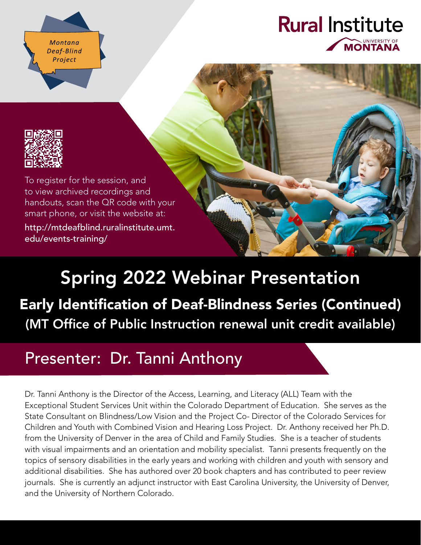Montana Deaf-Blind Project

### **Rural Institute** UNIVERSITY OF **MONTANA**



To register for the session, and to view archived recordings and handouts, scan the QR code with your smart phone, or visit the website at:

[http://mtdeafblind.ruralinstitute.umt.](http://mtdeafblind.ruralinstitute.umt.edu/events-training/) [edu/events-training/](http://mtdeafblind.ruralinstitute.umt.edu/events-training/)

# Spring 2022 Webinar Presentation

## Early Identification of Deaf-Blindness Series (Continued) (MT Office of Public Instruction renewal unit credit available)

# Presenter: Dr. Tanni Anthony

Dr. Tanni Anthony is the Director of the Access, Learning, and Literacy (ALL) Team with the Exceptional Student Services Unit within the Colorado Department of Education. She serves as the State Consultant on Blindness/Low Vision and the Project Co- Director of the Colorado Services for Children and Youth with Combined Vision and Hearing Loss Project. Dr. Anthony received her Ph.D. from the University of Denver in the area of Child and Family Studies. She is a teacher of students with visual impairments and an orientation and mobility specialist. Tanni presents frequently on the topics of sensory disabilities in the early years and working with children and youth with sensory and additional disabilities. She has authored over 20 book chapters and has contributed to peer review journals. She is currently an adjunct instructor with East Carolina University, the University of Denver, and the University of Northern Colorado.